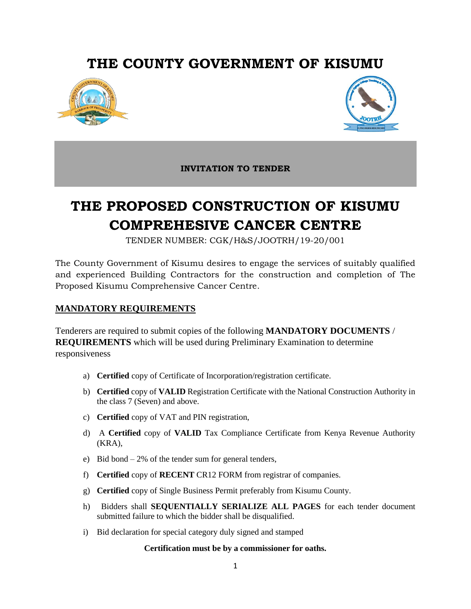# **THE COUNTY GOVERNMENT OF KISUMU**





**INVITATION TO TENDER**

# **THE PROPOSED CONSTRUCTION OF KISUMU COMPREHESIVE CANCER CENTRE**

TENDER NUMBER: CGK/H&S/JOOTRH/19-20/001

The County Government of Kisumu desires to engage the services of suitably qualified and experienced Building Contractors for the construction and completion of The Proposed Kisumu Comprehensive Cancer Centre.

## **MANDATORY REQUIREMENTS**

Tenderers are required to submit copies of the following **MANDATORY DOCUMENTS** / **REQUIREMENTS** which will be used during Preliminary Examination to determine responsiveness

- a) **Certified** copy of Certificate of Incorporation/registration certificate.
- b) **Certified** copy of **VALID** Registration Certificate with the National Construction Authority in the class 7 (Seven) and above.
- c) **Certified** copy of VAT and PIN registration,
- d) A **Certified** copy of **VALID** Tax Compliance Certificate from Kenya Revenue Authority (KRA),
- e) Bid bond 2% of the tender sum for general tenders,
- f) **Certified** copy of **RECENT** CR12 FORM from registrar of companies.
- g) **Certified** copy of Single Business Permit preferably from Kisumu County.
- h) Bidders shall **SEQUENTIALLY SERIALIZE ALL PAGES** for each tender document submitted failure to which the bidder shall be disqualified.
- i) Bid declaration for special category duly signed and stamped

#### **Certification must be by a commissioner for oaths.**